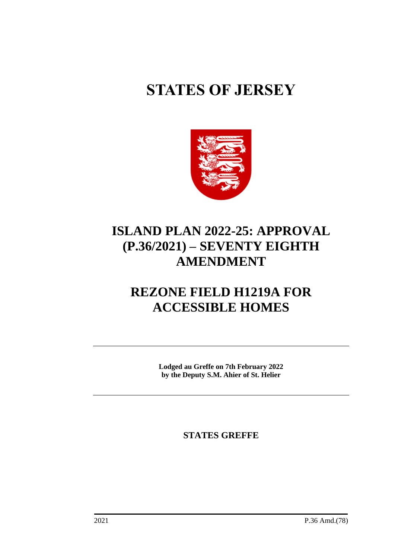# **STATES OF JERSEY**



# **ISLAND PLAN 2022-25: APPROVAL (P.36/2021) – SEVENTY EIGHTH AMENDMENT**

# **REZONE FIELD H1219A FOR ACCESSIBLE HOMES**

**Lodged au Greffe on 7th February 2022 by the Deputy S.M. Ahier of St. Helier**

**STATES GREFFE**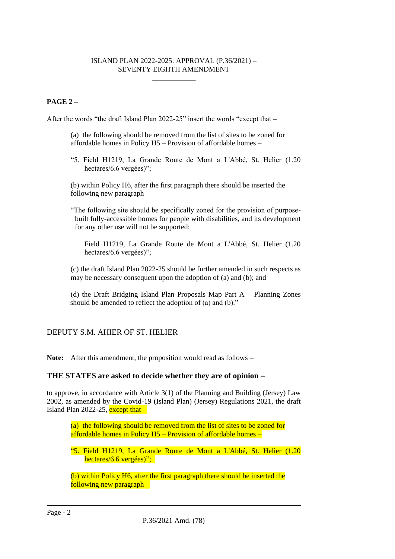#### ISLAND PLAN 2022-2025: APPROVAL (P.36/2021) – SEVENTY EIGHTH AMENDMENT \_\_\_\_\_\_\_\_\_\_\_\_

## **PAGE 2 –**

After the words "the draft Island Plan 2022-25" insert the words "except that –

- (a) the following should be removed from the list of sites to be zoned for affordable homes in Policy H5 – Provision of affordable homes –
- "5. Field H1219, La Grande Route de Mont a L'Abbé, St. Helier (1.20 hectares/6.6 vergées)";

(b) within Policy H6, after the first paragraph there should be inserted the following new paragraph –

"The following site should be specifically zoned for the provision of purposebuilt fully-accessible homes for people with disabilities, and its development for any other use will not be supported:

Field H1219, La Grande Route de Mont a L'Abbé, St. Helier (1.20 hectares/6.6 vergées)";

(c) the draft Island Plan 2022-25 should be further amended in such respects as may be necessary consequent upon the adoption of (a) and (b); and

(d) the Draft Bridging Island Plan Proposals Map Part A – Planning Zones should be amended to reflect the adoption of (a) and (b)."

## DEPUTY S.M. AHIER OF ST. HELIER

**Note:** After this amendment, the proposition would read as follows –

## **THE STATES are asked to decide whether they are of opinion** −

to approve, in accordance with Article 3(1) of the Planning and Building (Jersey) Law 2002, as amended by the Covid-19 (Island Plan) (Jersey) Regulations 2021, the draft Island Plan 2022-25, except that  $-$ 

(a) the following should be removed from the list of sites to be zoned for affordable homes in Policy H5 – Provision of affordable homes –

"5. Field H1219, La Grande Route de Mont a L'Abbé, St. Helier (1.20 hectares/6.6 vergées)";

(b) within Policy H6, after the first paragraph there should be inserted the following new paragraph –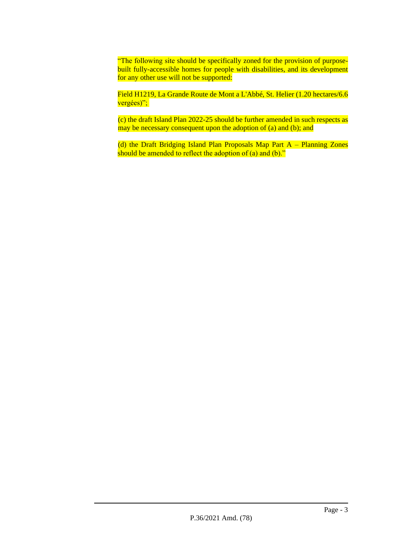"The following site should be specifically zoned for the provision of purposebuilt fully-accessible homes for people with disabilities, and its development for any other use will not be supported:

Field H1219, La Grande Route de Mont a L'Abbé, St. Helier (1.20 hectares/6.6 vergées)";

(c) the draft Island Plan 2022-25 should be further amended in such respects as may be necessary consequent upon the adoption of (a) and (b); and

(d) the Draft Bridging Island Plan Proposals Map Part A – Planning Zones should be amended to reflect the adoption of (a) and (b)."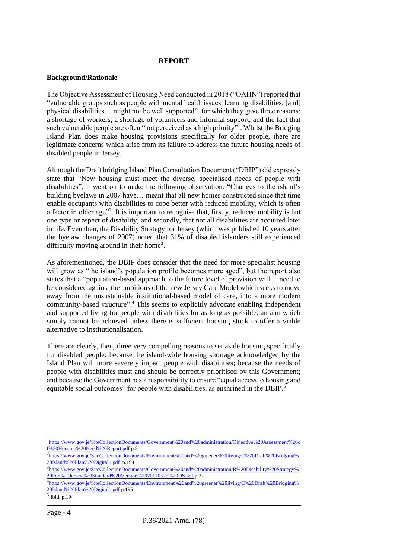#### **REPORT**

#### **Background/Rationale**

The Objective Assessment of Housing Need conducted in 2018 ("OAHN") reported that "vulnerable groups such as people with mental health issues, learning disabilities, [and] physical disabilities… might not be well supported", for which they gave three reasons: a shortage of workers; a shortage of volunteers and informal support; and the fact that such vulnerable people are often "not perceived as a high priority"<sup>1</sup>. Whilst the Bridging Island Plan does make housing provisions specifically for older people, there are legitimate concerns which arise from its failure to address the future housing needs of disabled people in Jersey.

Although the Draft bridging Island Plan Consultation Document ("DBIP") did expressly state that "New housing must meet the diverse, specialised needs of people with disabilities", it went on to make the following observation: "Changes to the island's building byelaws in 2007 have… meant that all new homes constructed since that time enable occupants with disabilities to cope better with reduced mobility, which is often a factor in older age"<sup>2</sup>. It is important to recognise that, firstly, reduced mobility is but one type or aspect of disability; and secondly, that not all disabilities are acquired later in life. Even then, the Disability Strategy for Jersey (which was published 10 years after the byelaw changes of 2007) noted that 31% of disabled islanders still experienced difficulty moving around in their home<sup>3</sup>.

As aforementioned, the DBIP does consider that the need for more specialist housing will grow as "the island's population profile becomes more aged", but the report also states that a "population-based approach to the future level of provision will… need to be considered against the ambitions of the new Jersey Care Model which seeks to move away from the unsustainable institutional-based model of care, into a more modern community-based structure".<sup>4</sup> This seems to explicitly advocate enabling independent and supported living for people with disabilities for as long as possible: an aim which simply cannot be achieved unless there is sufficient housing stock to offer a viable alternative to institutionalisation.

There are clearly, then, three very compelling reasons to set aside housing specifically for disabled people: because the island-wide housing shortage acknowledged by the Island Plan will more severely impact people with disabilities; because the needs of people with disabilities must and should be correctly prioritised by this Government; and because the Government has a responsibility to ensure "equal access to housing and equitable social outcomes" for people with disabilities, as enshrined in the DBIP.<sup>5</sup>

<sup>&</sup>lt;sup>1</sup>[https://www.gov.je/SiteCollectionDocuments/Government%20and%20administration/Objective%20Assessment%20o](https://www.gov.je/SiteCollectionDocuments/Government%20and%20administration/Objective%20Assessment%20of%20Housing%20Need%20Report.pdf) [f%20Housing%20Need%20Report.pdf](https://www.gov.je/SiteCollectionDocuments/Government%20and%20administration/Objective%20Assessment%20of%20Housing%20Need%20Report.pdf) p.8

<sup>&</sup>lt;sup>2</sup>[https://www.gov.je/SiteCollectionDocuments/Environment%20and%20greener%20living/C%20Draft%20Bridging%](https://www.gov.je/SiteCollectionDocuments/Environment%20and%20greener%20living/C%20Draft%20Bridging%20Island%20Plan%20Digital1.pdf) [20Island%20Plan%20Digital1.pdf](https://www.gov.je/SiteCollectionDocuments/Environment%20and%20greener%20living/C%20Draft%20Bridging%20Island%20Plan%20Digital1.pdf) p.194

<sup>3</sup>[https://www.gov.je/SiteCollectionDocuments/Government%20and%20administration/R%20Disability%20Strategy%](https://www.gov.je/SiteCollectionDocuments/Government%20and%20administration/R%20Disability%20Strategy%20For%20Jersey%20Standard%20Version%2020170525%20DS.pdf) [20For%20Jersey%20Standard%20Version%2020170525%20DS.pdf](https://www.gov.je/SiteCollectionDocuments/Government%20and%20administration/R%20Disability%20Strategy%20For%20Jersey%20Standard%20Version%2020170525%20DS.pdf) p.21

<sup>4</sup> [https://www.gov.je/SiteCollectionDocuments/Environment%20and%20greener%20living/C%20Draft%20Bridging%](https://www.gov.je/SiteCollectionDocuments/Environment%20and%20greener%20living/C%20Draft%20Bridging%20Island%20Plan%20Digital1.pdf) [20Island%20Plan%20Digital1.pdf](https://www.gov.je/SiteCollectionDocuments/Environment%20and%20greener%20living/C%20Draft%20Bridging%20Island%20Plan%20Digital1.pdf) p.195

<sup>5</sup> Ibid, p.194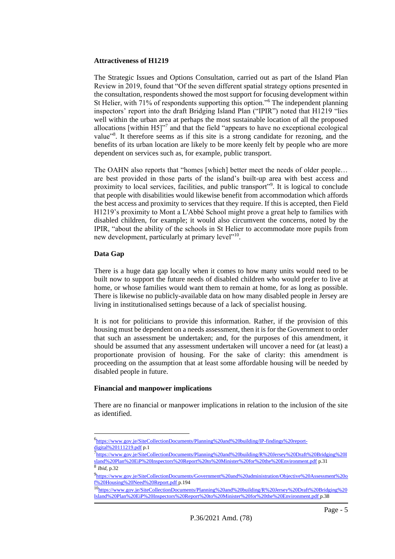#### **Attractiveness of H1219**

The Strategic Issues and Options Consultation, carried out as part of the Island Plan Review in 2019, found that "Of the seven different spatial strategy options presented in the consultation, respondents showed the most support for focusing development within St Helier, with 71% of respondents supporting this option."<sup>6</sup> The independent planning inspectors' report into the draft Bridging Island Plan ("IPIR") noted that H1219 "lies well within the urban area at perhaps the most sustainable location of all the proposed allocations [within  $H5$ ]"<sup>7</sup> and that the field "appears to have no exceptional ecological value<sup>38</sup>. It therefore seems as if this site is a strong candidate for rezoning, and the benefits of its urban location are likely to be more keenly felt by people who are more dependent on services such as, for example, public transport.

The OAHN also reports that "homes [which] better meet the needs of older people… are best provided in those parts of the island's built-up area with best access and proximity to local services, facilities, and public transport"<sup>9</sup>. It is logical to conclude that people with disabilities would likewise benefit from accommodation which affords the best access and proximity to services that they require. If this is accepted, then Field H1219's proximity to Mont a L'Abbé School might prove a great help to families with disabled children, for example; it would also circumvent the concerns, noted by the IPIR, "about the ability of the schools in St Helier to accommodate more pupils from new development, particularly at primary level"<sup>10</sup>.

#### **Data Gap**

There is a huge data gap locally when it comes to how many units would need to be built now to support the future needs of disabled children who would prefer to live at home, or whose families would want them to remain at home, for as long as possible. There is likewise no publicly-available data on how many disabled people in Jersey are living in institutionalised settings because of a lack of specialist housing.

It is not for politicians to provide this information. Rather, if the provision of this housing must be dependent on a needs assessment, then it is for the Government to order that such an assessment be undertaken; and, for the purposes of this amendment, it should be assumed that any assessment undertaken will uncover a need for (at least) a proportionate provision of housing. For the sake of clarity: this amendment is proceeding on the assumption that at least some affordable housing will be needed by disabled people in future.

#### **Financial and manpower implications**

There are no financial or manpower implications in relation to the inclusion of the site as identified.

<sup>6</sup> [https://www.gov.je/SiteCollectionDocuments/Planning%20and%20building/IP-findings%20report](https://www.gov.je/SiteCollectionDocuments/Planning%20and%20building/IP-findings%20report-digital%20111219.pdf)[digital%20111219.pdf](https://www.gov.je/SiteCollectionDocuments/Planning%20and%20building/IP-findings%20report-digital%20111219.pdf) p.1

<sup>7</sup> https://www.gov.je/SiteCollectionDocuments/Planning%20and%20building/R%20Jersey%20Draft%20Bridging%20I sland%20Plan%20EiP%20Inspectors%20Report%20to%20Minister%20for%20the%20Environment.pdf p.31 8 *Ibid*, p.32

<sup>9</sup> [https://www.gov.je/SiteCollectionDocuments/Government%20and%20administration/Objective%20Assessment%20o](https://www.gov.je/SiteCollectionDocuments/Government%20and%20administration/Objective%20Assessment%20of%20Housing%20Need%20Report.pdf) [f%20Housing%20Need%20Report.pdf](https://www.gov.je/SiteCollectionDocuments/Government%20and%20administration/Objective%20Assessment%20of%20Housing%20Need%20Report.pdf) p.194

<sup>10</sup>[https://www.gov.je/SiteCollectionDocuments/Planning%20and%20building/R%20Jersey%20Draft%20Bridging%20](https://www.gov.je/SiteCollectionDocuments/Planning%20and%20building/R%20Jersey%20Draft%20Bridging%20Island%20Plan%20EiP%20Inspectors%20Report%20to%20Minister%20for%20the%20Environment.pdf) [Island%20Plan%20EiP%20Inspectors%20Report%20to%20Minister%20for%20the%20Environment.pdf](https://www.gov.je/SiteCollectionDocuments/Planning%20and%20building/R%20Jersey%20Draft%20Bridging%20Island%20Plan%20EiP%20Inspectors%20Report%20to%20Minister%20for%20the%20Environment.pdf) p.38